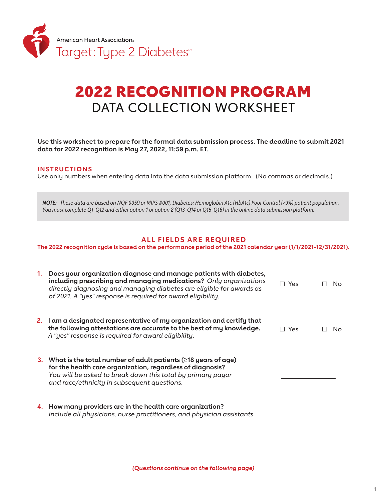

# 2022 RECOGNITION PROGRAM DATA COLLECTION WORKSHEET

**Use this worksheet to prepare for the formal data submission process. The deadline to submit 2021 data for 2022 recognition is May 27, 2022, 11:59 p.m. ET.**

#### **INS TRUC TIONS**

Use only numbers when entering data into the data submission platform. (No commas or decimals.)

*NOTE: These data are based on NQF 0059 or MIPS #001, Diabetes: Hemoglobin A1c (HbA1c) Poor Control (>9%) patient population. You must complete Q1-Q12 and either option 1 or option 2 (Q13-Q14 or Q15-Q16) in the online data submission platform.* 

## **ALL FIELDS ARE REQUIRED**

**The 2022 recognition cycle is based on the performance period of the 2021 calendar year (1/1/2021-12/31/2021).** 

| 1. | Does your organization diagnose and manage patients with diabetes,<br>including prescribing and managing medications? Only organizations<br>directly diagnosing and managing diabetes are eligible for awards as<br>of 2021. A "yes" response is required for award eligibility. | $\Box$ Yes | No. |
|----|----------------------------------------------------------------------------------------------------------------------------------------------------------------------------------------------------------------------------------------------------------------------------------|------------|-----|
|    | 2. I am a designated representative of my organization and certify that<br>the following attestations are accurate to the best of my knowledge.<br>A "yes" response is required for award eligibility.                                                                           | Yes        | No. |
|    | 3. What is the total number of adult patients ( $\geq 18$ years of age)<br>for the health care organization, regardless of diagnosis?<br>You will be asked to break down this total by primary payor<br>and race/ethnicity in subsequent questions.                              |            |     |
|    | 4. How many providers are in the health care organization?<br>Include all physicians, nurse practitioners, and physician assistants.                                                                                                                                             |            |     |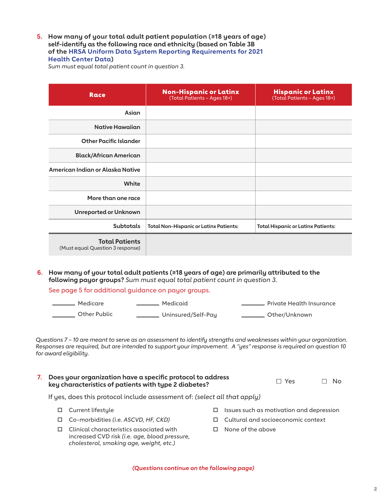**5. How many of your total adult patient population (≥18 years of age) self-identify as the following race and ethnicity (based on Table 3B of the HRSA Uniform Data System Reporting Requirements for 2021 Health Center Data)** 

*Sum must equal total patient count in question 3.*

| Race                                                      | <b>Non-Hispanic or Latinx</b><br>(Total Patients - Ages 18+) | <b>Hispanic or Latinx</b><br>(Total Patients - Ages 18+) |
|-----------------------------------------------------------|--------------------------------------------------------------|----------------------------------------------------------|
| Asian                                                     |                                                              |                                                          |
| <b>Native Hawaijan</b>                                    |                                                              |                                                          |
| <b>Other Pacific Islander</b>                             |                                                              |                                                          |
| <b>Black/African American</b>                             |                                                              |                                                          |
| American Indian or Alaska Native                          |                                                              |                                                          |
| White                                                     |                                                              |                                                          |
| More than one race                                        |                                                              |                                                          |
| <b>Unreported or Unknown</b>                              |                                                              |                                                          |
| <b>Subtotals</b>                                          | <b>Total Non-Hispanic or Latinx Patients:</b>                | <b>Total Hispanic or Latinx Patients:</b>                |
| <b>Total Patients</b><br>(Must equal Question 3 response) |                                                              |                                                          |

**6. How many of your total adult patients (≥18 years of age) are primarily attributed to the following payor groups?** *Sum must equal total patient count in question 3.*

See page 5 for additional guidance on payor groups.

| Medicare     | Medicaid           | Private Health Insurance |
|--------------|--------------------|--------------------------|
| Other Public | Uninsured/Self-Pay | Other/Unknown            |

*Questions 7 – 10 are meant to serve as an assessment to identify strengths and weaknesses within your organization. Responses are required, but are intended to support your improvement. A "yes" response is required on question 10 for award eligibility.*

| 7. Does your organization have a specific protocol to address | $\Box$ Yes | $\Box$ No |
|---------------------------------------------------------------|------------|-----------|
| key characteristics of patients with type 2 diabetes?         |            |           |

If yes, does this protocol include assessment of: *(select all that apply)*

- □ Current lifestyle
- Co-morbidities *(i.e. ASCVD, HF, CKD)*
- Clinical characteristics associated with increased CVD risk *(i.e. age, blood pressure, cholesterol, smoking age, weight, etc.)*
- $\Box$  Issues such as motivation and depression
- Cultural and socioeconomic context
- $\square$  None of the above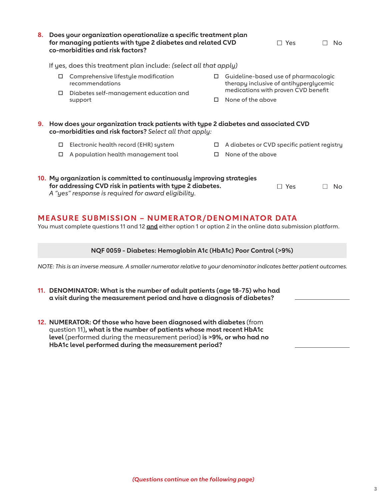| 8. . | Does your organization operationalize a specific treatment plan<br>for managing patients with type 2 diabetes and related CVD<br>co-morbidities and risk factors? |                                                                                                                                                                                           |   | $\Box$ Yes        | No                                                                                                                           |                |
|------|-------------------------------------------------------------------------------------------------------------------------------------------------------------------|-------------------------------------------------------------------------------------------------------------------------------------------------------------------------------------------|---|-------------------|------------------------------------------------------------------------------------------------------------------------------|----------------|
|      | If yes, does this treatment plan include: (select all that apply)                                                                                                 |                                                                                                                                                                                           |   |                   |                                                                                                                              |                |
|      | 0                                                                                                                                                                 | □ Comprehensive lifestyle modification<br>recommendations<br>Diabetes self-management education and<br>support                                                                            | □ | None of the above | $\Box$ Guideline-based use of pharmacologic<br>therapy inclusive of antihyperglycemic<br>medications with proven CVD benefit |                |
|      |                                                                                                                                                                   | 9. How does your organization track patients with type 2 diabetes and associated CVD<br>co-morbidities and risk factors? Select all that apply:                                           |   |                   |                                                                                                                              |                |
|      | $\Box$                                                                                                                                                            | Electronic health record (EHR) system                                                                                                                                                     | □ |                   | A diabetes or CVD specific patient registry                                                                                  |                |
|      |                                                                                                                                                                   | A population health management tool                                                                                                                                                       | п | None of the above |                                                                                                                              |                |
|      |                                                                                                                                                                   | 10. My organization is committed to continuously improving strategies<br>for addressing CVD risk in patients with type 2 diabetes.<br>A "yes" response is required for award eligibility. |   |                   | $\Box$ Yes                                                                                                                   | <b>No</b><br>П |
|      |                                                                                                                                                                   | <b>MEASURE SUBMISSION - NUMERATOR/DENOMINATOR DATA</b><br>You must complete questions 11 and 12 and either option 1 or option 2 in the online data submission platform.                   |   |                   |                                                                                                                              |                |
|      |                                                                                                                                                                   | NQF 0059 - Diabetes: Hemoglobin A1c (HbA1c) Poor Control (>9%)                                                                                                                            |   |                   |                                                                                                                              |                |
|      |                                                                                                                                                                   | NOTE: This is an inverse measure. A smaller numerator relative to your denominator indicates better patient outcomes.                                                                     |   |                   |                                                                                                                              |                |
|      |                                                                                                                                                                   | 11. DENOMINATOR: What is the number of adult patients (age 18-75) who had                                                                                                                 |   |                   |                                                                                                                              |                |

- **a visit during the measurement period and have a diagnosis of diabetes? 12. NUMERATOR: Of those who have been diagnosed with diabetes** (from
- question 11)**, what is the number of patients whose most recent HbA1c level** (performed during the measurement period) **is >9%, or who had no HbA1c level performed during the measurement period?**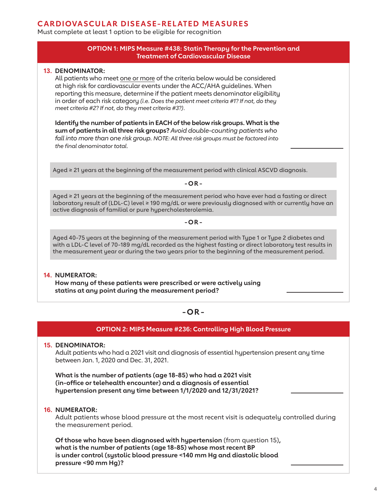# **CARDIOVASCULAR DISEASE-RELATED MEASURES**

Must complete at least 1 option to be eligible for recognition

#### **OPTION 1: MIPS Measure #438: Statin Therapy for the Prevention and Treatment of Cardiovascular Disease**

#### **13. DENOMINATOR:**

All patients who meet one or more of the criteria below would be considered at high risk for cardiovascular events under the ACC/AHA guidelines. When reporting this measure, determine if the patient meets denominator eligibility in order of each risk category *(i.e. Does the patient meet criteria #1? If not, do they meet criteria #2? If not, do they meet criteria #3?)*.

**Identify the number of patients in EACH of the below risk groups. What is the sum of patients in all three risk groups?** *Avoid double-counting patients who*  fall into more than one risk group. NOTE: All three risk groups must be factored into *the final denominator total.*

Aged ≥ 21 years at the beginning of the measurement period with clinical ASCVD diagnosis.

**-OR -**

Aged ≥ 21 years at the beginning of the measurement period who have ever had a fasting or direct laboratory result of (LDL-C) level ≥ 190 mg/dL or were previously diagnosed with or currently have an active diagnosis of familial or pure hypercholesterolemia.

**-OR -**

Aged 40-75 years at the beginning of the measurement period with Type 1 or Type 2 diabetes and with a LDL-C level of 70-189 mg/dL recorded as the highest fasting or direct laboratory test results in the measurement year or during the two years prior to the beginning of the measurement period.

#### **14. NUMERATOR: How many of these patients were prescribed or were actively using statins at any point during the measurement period?**

## **-OR -**

#### **OPTION 2: MIPS Measure #236: Controlling High Blood Pressure**

#### **15. DENOMINATOR:**

Adult patients who had a 2021 visit and diagnosis of essential hypertension present any time between Jan. 1, 2020 and Dec. 31, 2021.

**What is the number of patients (age 18-85) who had a 2021 visit (in-office or telehealth encounter) and a diagnosis of essential hypertension present any time between 1/1/2020 and 12/31/2021?**

#### **16. NUMERATOR:**

Adult patients whose blood pressure at the most recent visit is adequately controlled during the measurement period.

**Of those who have been diagnosed with hypertension** (from question 15)**, what is the number of patients (age 18-85) whose most recent BP is under control (systolic blood pressure <140 mm Hg and diastolic blood pressure <90 mm Hg)?**